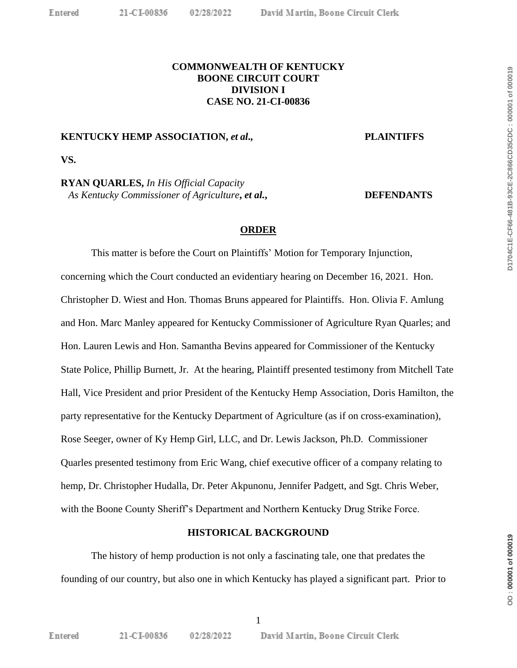## **COMMONWEALTH OF KENTUCKY BOONE CIRCUIT COURT DIVISION I CASE NO. 21-CI-00836**

### **KENTUCKY HEMP ASSOCIATION,** *et al***., PLAINTIFFS**

**VS.**

**RYAN QUARLES,** *In His Official Capacity As Kentucky Commissioner of Agriculture***,** *et al.***, DEFENDANTS**

#### **ORDER**

This matter is before the Court on Plaintiffs' Motion for Temporary Injunction, concerning which the Court conducted an evidentiary hearing on December 16, 2021. Hon. Christopher D. Wiest and Hon. Thomas Bruns appeared for Plaintiffs. Hon. Olivia F. Amlung and Hon. Marc Manley appeared for Kentucky Commissioner of Agriculture Ryan Quarles; and Hon. Lauren Lewis and Hon. Samantha Bevins appeared for Commissioner of the Kentucky State Police, Phillip Burnett, Jr. At the hearing, Plaintiff presented testimony from Mitchell Tate Hall, Vice President and prior President of the Kentucky Hemp Association, Doris Hamilton, the party representative for the Kentucky Department of Agriculture (as if on cross-examination), Rose Seeger, owner of Ky Hemp Girl, LLC, and Dr. Lewis Jackson, Ph.D. Commissioner Quarles presented testimony from Eric Wang, chief executive officer of a company relating to hemp, Dr. Christopher Hudalla, Dr. Peter Akpunonu, Jennifer Padgett, and Sgt. Chris Weber, with the Boone County Sheriff's Department and Northern Kentucky Drug Strike Force.

#### **HISTORICAL BACKGROUND**

The history of hemp production is not only a fascinating tale, one that predates the founding of our country, but also one in which Kentucky has played a significant part. Prior to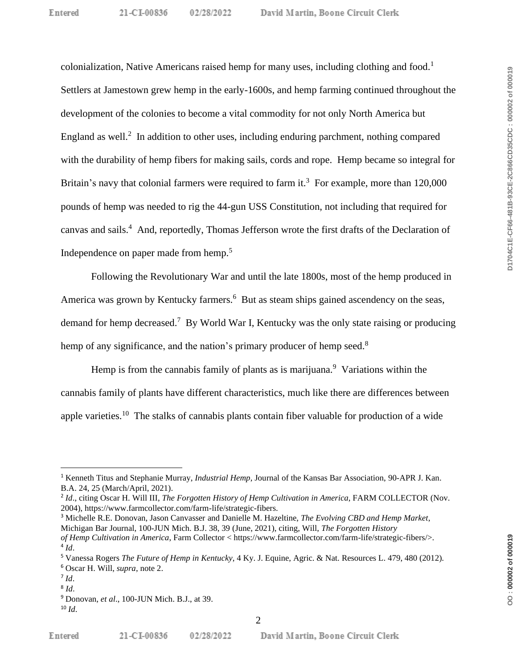colonialization, Native Americans raised hemp for many uses, including clothing and food.<sup>1</sup> Settlers at Jamestown grew hemp in the early-1600s, and hemp farming continued throughout the development of the colonies to become a vital commodity for not only North America but England as well. $^2$  In addition to other uses, including enduring parchment, nothing compared with the durability of hemp fibers for making sails, cords and rope. Hemp became so integral for Britain's navy that colonial farmers were required to farm it.<sup>3</sup> For example, more than  $120,000$ pounds of hemp was needed to rig the 44-gun USS Constitution, not including that required for canvas and sails.<sup>4</sup> And, reportedly, Thomas Jefferson wrote the first drafts of the Declaration of Independence on paper made from hemp.<sup>5</sup>

Following the Revolutionary War and until the late 1800s, most of the hemp produced in America was grown by Kentucky farmers.<sup>6</sup> But as steam ships gained ascendency on the seas, demand for hemp decreased.<sup>7</sup> By World War I, Kentucky was the only state raising or producing hemp of any significance, and the nation's primary producer of hemp seed.<sup>8</sup>

Hemp is from the cannabis family of plants as is marijuana.<sup>9</sup> Variations within the cannabis family of plants have different characteristics, much like there are differences between apple varieties.<sup>10</sup> The stalks of cannabis plants contain fiber valuable for production of a wide

<sup>3</sup> Michelle R.E. Donovan, Jason Canvasser and Danielle M. Hazeltine, *The Evolving CBD and Hemp Market*, Michigan Bar Journal, 100-JUN Mich. B.J. 38, 39 (June, 2021), citing, Will, *The Forgotten History of Hemp Cultivation in America*, Farm Collector < https://www.farmcollector.com/farm-life/strategic-fibers/>.

02/28/2022

<sup>1</sup> Kenneth Titus and Stephanie Murray, *Industrial Hemp*, Journal of the Kansas Bar Association, 90-APR J. Kan. B.A. 24, 25 (March/April, 2021).

<sup>2</sup> *Id*., citing Oscar H. Will III, *The Forgotten History of Hemp Cultivation in America*, FARM COLLECTOR (Nov. 2004), https://www.farmcollector.com/farm-life/strategic-fibers.

<sup>4</sup> *Id*.

<sup>5</sup> Vanessa Rogers *The Future of Hemp in Kentucky*, 4 Ky. J. Equine, Agric. & Nat. Resources L. 479, 480 (2012).

<sup>6</sup> Oscar H. Will, *supra*, note 2.

<sup>7</sup> *Id*.

<sup>8</sup> *Id*.

<sup>9</sup> Donovan, *et al*., 100-JUN Mich. B.J., at 39.

 $10$  *Id.*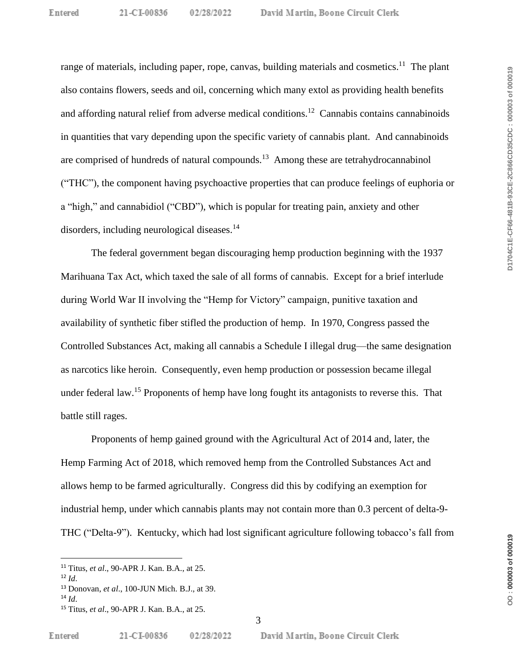range of materials, including paper, rope, canvas, building materials and cosmetics.<sup>11</sup> The plant also contains flowers, seeds and oil, concerning which many extol as providing health benefits and affording natural relief from adverse medical conditions.<sup>12</sup> Cannabis contains cannabinoids in quantities that vary depending upon the specific variety of cannabis plant. And cannabinoids are comprised of hundreds of natural compounds.<sup>13</sup> Among these are tetrahydrocannabinol ("THC"), the component having psychoactive properties that can produce feelings of euphoria or a "high," and cannabidiol ("CBD"), which is popular for treating pain, anxiety and other disorders, including neurological diseases. 14

The federal government began discouraging hemp production beginning with the 1937 Marihuana Tax Act, which taxed the sale of all forms of cannabis. Except for a brief interlude during World War II involving the "Hemp for Victory" campaign, punitive taxation and availability of synthetic fiber stifled the production of hemp. In 1970, Congress passed the Controlled Substances Act, making all cannabis a Schedule I illegal drug—the same designation as narcotics like heroin. Consequently, even hemp production or possession became illegal under federal law.<sup>15</sup> Proponents of hemp have long fought its antagonists to reverse this. That battle still rages.

Proponents of hemp gained ground with the Agricultural Act of 2014 and, later, the Hemp Farming Act of 2018, which removed hemp from the Controlled Substances Act and allows hemp to be farmed agriculturally. Congress did this by codifying an exemption for industrial hemp, under which cannabis plants may not contain more than 0.3 percent of delta-9- THC ("Delta-9"). Kentucky, which had lost significant agriculture following tobacco's fall from

<sup>15</sup> Titus, *et al*., 90-APR J. Kan. B.A., at 25.

<sup>11</sup> Titus, *et al*., 90-APR J. Kan. B.A., at 25.

<sup>12</sup> *Id*.

<sup>13</sup> Donovan, *et al*., 100-JUN Mich. B.J., at 39.

<sup>14</sup> *Id*.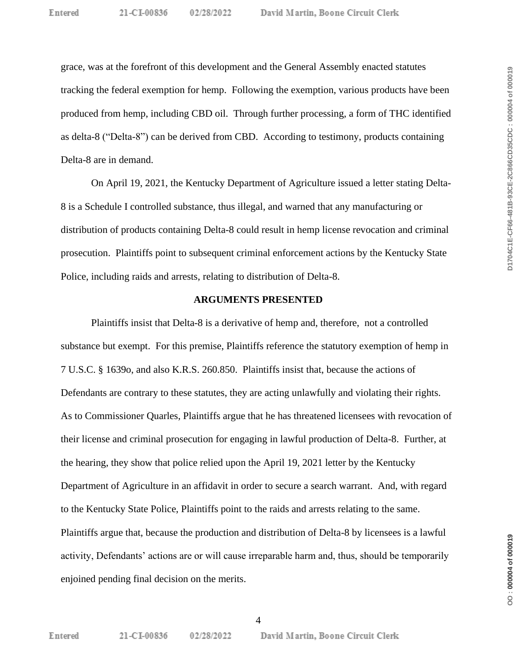David Martin, Boone Circuit Clerk

grace, was at the forefront of this development and the General Assembly enacted statutes tracking the federal exemption for hemp. Following the exemption, various products have been produced from hemp, including CBD oil. Through further processing, a form of THC identified as delta-8 ("Delta-8") can be derived from CBD. According to testimony, products containing Delta-8 are in demand.

On April 19, 2021, the Kentucky Department of Agriculture issued a letter stating Delta-8 is a Schedule I controlled substance, thus illegal, and warned that any manufacturing or distribution of products containing Delta-8 could result in hemp license revocation and criminal prosecution. Plaintiffs point to subsequent criminal enforcement actions by the Kentucky State Police, including raids and arrests, relating to distribution of Delta-8.

#### **ARGUMENTS PRESENTED**

Plaintiffs insist that Delta-8 is a derivative of hemp and, therefore, not a controlled substance but exempt. For this premise, Plaintiffs reference the statutory exemption of hemp in 7 U.S.C. § 1639o, and also K.R.S. 260.850. Plaintiffs insist that, because the actions of Defendants are contrary to these statutes, they are acting unlawfully and violating their rights. As to Commissioner Quarles, Plaintiffs argue that he has threatened licensees with revocation of their license and criminal prosecution for engaging in lawful production of Delta-8. Further, at the hearing, they show that police relied upon the April 19, 2021 letter by the Kentucky Department of Agriculture in an affidavit in order to secure a search warrant. And, with regard to the Kentucky State Police, Plaintiffs point to the raids and arrests relating to the same. Plaintiffs argue that, because the production and distribution of Delta-8 by licensees is a lawful activity, Defendants' actions are or will cause irreparable harm and, thus, should be temporarily enjoined pending final decision on the merits.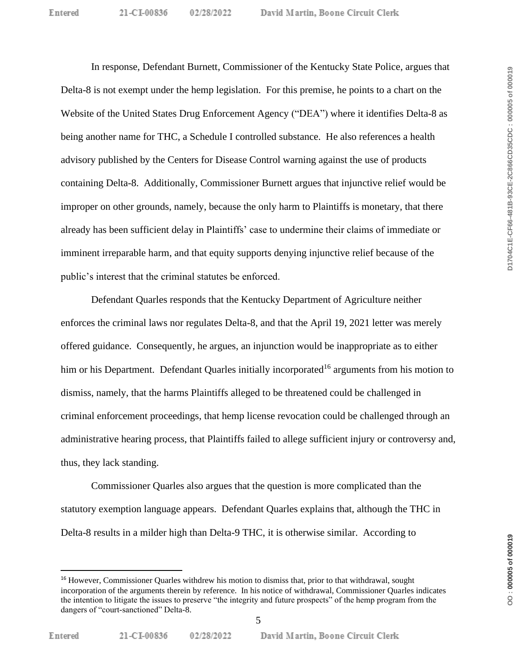In response, Defendant Burnett, Commissioner of the Kentucky State Police, argues that Delta-8 is not exempt under the hemp legislation. For this premise, he points to a chart on the Website of the United States Drug Enforcement Agency ("DEA") where it identifies Delta-8 as being another name for THC, a Schedule I controlled substance. He also references a health advisory published by the Centers for Disease Control warning against the use of products containing Delta-8. Additionally, Commissioner Burnett argues that injunctive relief would be improper on other grounds, namely, because the only harm to Plaintiffs is monetary, that there already has been sufficient delay in Plaintiffs' case to undermine their claims of immediate or imminent irreparable harm, and that equity supports denying injunctive relief because of the public's interest that the criminal statutes be enforced.

Defendant Quarles responds that the Kentucky Department of Agriculture neither enforces the criminal laws nor regulates Delta-8, and that the April 19, 2021 letter was merely offered guidance. Consequently, he argues, an injunction would be inappropriate as to either him or his Department. Defendant Quarles initially incorporated<sup>16</sup> arguments from his motion to dismiss, namely, that the harms Plaintiffs alleged to be threatened could be challenged in criminal enforcement proceedings, that hemp license revocation could be challenged through an administrative hearing process, that Plaintiffs failed to allege sufficient injury or controversy and, thus, they lack standing.

Commissioner Quarles also argues that the question is more complicated than the statutory exemption language appears. Defendant Quarles explains that, although the THC in Delta-8 results in a milder high than Delta-9 THC, it is otherwise similar. According to

<sup>16</sup> However, Commissioner Quarles withdrew his motion to dismiss that, prior to that withdrawal, sought incorporation of the arguments therein by reference. In his notice of withdrawal, Commissioner Quarles indicates the intention to litigate the issues to preserve "the integrity and future prospects" of the hemp program from the dangers of "court-sanctioned" Delta-8.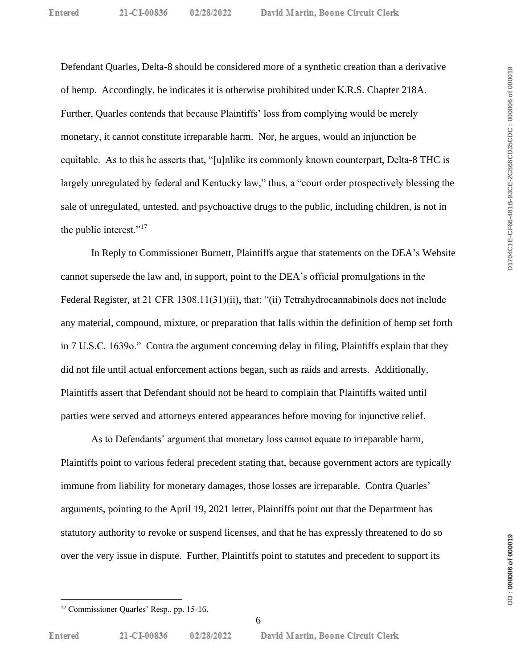Defendant Quarles, Delta-8 should be considered more of a synthetic creation than a derivative of hemp. Accordingly, he indicates it is otherwise prohibited under K.R.S. Chapter 218A. Further, Quarles contends that because Plaintiffs' loss from complying would be merely monetary, it cannot constitute irreparable harm. Nor, he argues, would an injunction be equitable. As to this he asserts that, "[u]nlike its commonly known counterpart, Delta-8 THC is largely unregulated by federal and Kentucky law," thus, a "court order prospectively blessing the sale of unregulated, untested, and psychoactive drugs to the public, including children, is not in the public interest."<sup>17</sup>

In Reply to Commissioner Burnett, Plaintiffs argue that statements on the DEA's Website cannot supersede the law and, in support, point to the DEA's official promulgations in the Federal Register, at 21 CFR 1308.11(31)(ii), that: "(ii) Tetrahydrocannabinols does not include any material, compound, mixture, or preparation that falls within the definition of hemp set forth in 7 U.S.C. 1639o." Contra the argument concerning delay in filing, Plaintiffs explain that they did not file until actual enforcement actions began, such as raids and arrests. Additionally, Plaintiffs assert that Defendant should not be heard to complain that Plaintiffs waited until parties were served and attorneys entered appearances before moving for injunctive relief.

As to Defendants' argument that monetary loss cannot equate to irreparable harm, Plaintiffs point to various federal precedent stating that, because government actors are typically immune from liability for monetary damages, those losses are irreparable. Contra Quarles' arguments, pointing to the April 19, 2021 letter, Plaintiffs point out that the Department has statutory authority to revoke or suspend licenses, and that he has expressly threatened to do so over the very issue in dispute. Further, Plaintiffs point to statutes and precedent to support its

<sup>17</sup> Commissioner Quarles' Resp., pp. 15-16.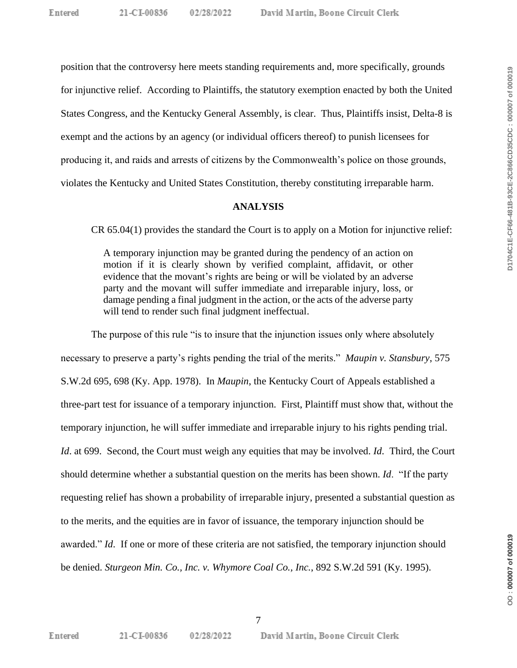position that the controversy here meets standing requirements and, more specifically, grounds for injunctive relief. According to Plaintiffs, the statutory exemption enacted by both the United States Congress, and the Kentucky General Assembly, is clear. Thus, Plaintiffs insist, Delta-8 is exempt and the actions by an agency (or individual officers thereof) to punish licensees for producing it, and raids and arrests of citizens by the Commonwealth's police on those grounds, violates the Kentucky and United States Constitution, thereby constituting irreparable harm.

### **ANALYSIS**

CR 65.04(1) provides the standard the Court is to apply on a Motion for injunctive relief:

A temporary injunction may be granted during the pendency of an action on motion if it is clearly shown by verified complaint, affidavit, or other evidence that the movant's rights are being or will be violated by an adverse party and the movant will suffer immediate and irreparable injury, loss, or damage pending a final judgment in the action, or the acts of the adverse party will tend to render such final judgment ineffectual.

The purpose of this rule "is to insure that the injunction issues only where absolutely necessary to preserve a party's rights pending the trial of the merits." *Maupin v. Stansbury*, 575 S.W.2d 695, 698 (Ky. App. 1978). In *Maupin*, the Kentucky Court of Appeals established a three-part test for issuance of a temporary injunction. First, Plaintiff must show that, without the temporary injunction, he will suffer immediate and irreparable injury to his rights pending trial. *Id*. at 699. Second, the Court must weigh any equities that may be involved. *Id*. Third, the Court should determine whether a substantial question on the merits has been shown. *Id*. "If the party requesting relief has shown a probability of irreparable injury, presented a substantial question as to the merits, and the equities are in favor of issuance, the temporary injunction should be awarded." *Id*. If one or more of these criteria are not satisfied, the temporary injunction should be denied. *Sturgeon Min. Co., Inc. v. Whymore Coal Co., Inc.*, 892 S.W.2d 591 (Ky. 1995).

02/28/2022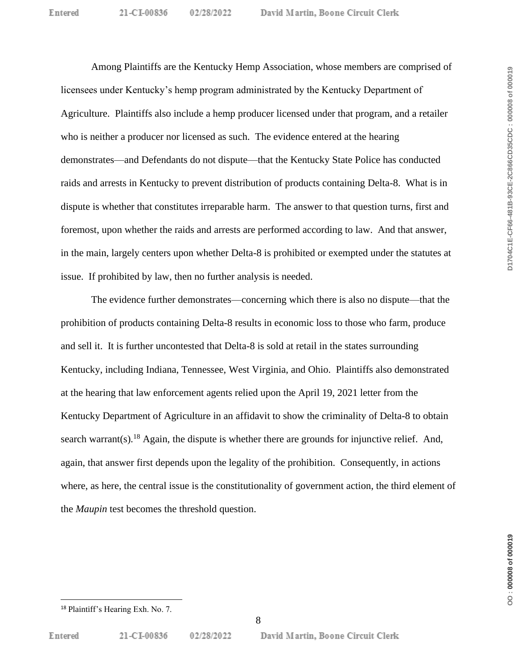Among Plaintiffs are the Kentucky Hemp Association, whose members are comprised of licensees under Kentucky's hemp program administrated by the Kentucky Department of Agriculture. Plaintiffs also include a hemp producer licensed under that program, and a retailer who is neither a producer nor licensed as such. The evidence entered at the hearing demonstrates—and Defendants do not dispute—that the Kentucky State Police has conducted raids and arrests in Kentucky to prevent distribution of products containing Delta-8. What is in dispute is whether that constitutes irreparable harm. The answer to that question turns, first and foremost, upon whether the raids and arrests are performed according to law. And that answer, in the main, largely centers upon whether Delta-8 is prohibited or exempted under the statutes at issue. If prohibited by law, then no further analysis is needed.

The evidence further demonstrates—concerning which there is also no dispute—that the prohibition of products containing Delta-8 results in economic loss to those who farm, produce and sell it. It is further uncontested that Delta-8 is sold at retail in the states surrounding Kentucky, including Indiana, Tennessee, West Virginia, and Ohio. Plaintiffs also demonstrated at the hearing that law enforcement agents relied upon the April 19, 2021 letter from the Kentucky Department of Agriculture in an affidavit to show the criminality of Delta-8 to obtain search warrant(s).<sup>18</sup> Again, the dispute is whether there are grounds for injunctive relief. And, again, that answer first depends upon the legality of the prohibition. Consequently, in actions where, as here, the central issue is the constitutionality of government action, the third element of the *Maupin* test becomes the threshold question.

02/28/2022

<sup>18</sup> Plaintiff's Hearing Exh. No. 7.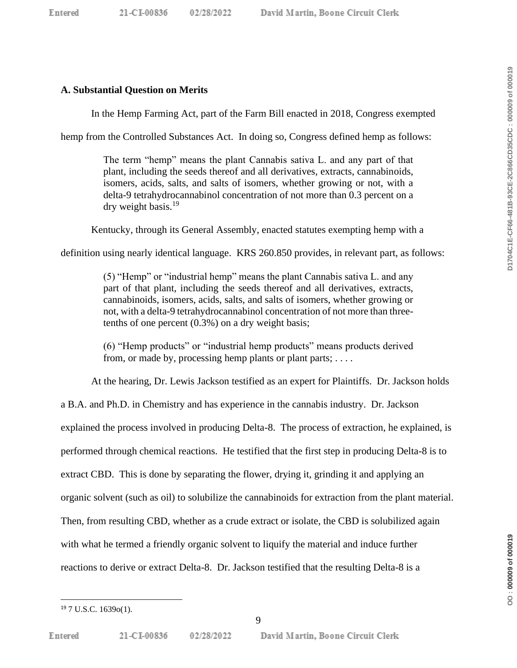DO: 000009 of 000019

## **A. Substantial Question on Merits**

In the Hemp Farming Act, part of the Farm Bill enacted in 2018, Congress exempted

hemp from the Controlled Substances Act. In doing so, Congress defined hemp as follows:

The term "hemp" means the plant Cannabis sativa L. and any part of that plant, including the seeds thereof and all derivatives, extracts, cannabinoids, isomers, acids, salts, and salts of isomers, whether growing or not, with a delta-9 tetrahydrocannabinol concentration of not more than 0.3 percent on a dry weight basis.<sup>19</sup>

Kentucky, through its General Assembly, enacted statutes exempting hemp with a

definition using nearly identical language. KRS 260.850 provides, in relevant part, as follows:

(5) "Hemp" or "industrial hemp" means the plant Cannabis sativa L. and any part of that plant, including the seeds thereof and all derivatives, extracts, cannabinoids, isomers, acids, salts, and salts of isomers, whether growing or not, with a delta-9 tetrahydrocannabinol concentration of not more than threetenths of one percent (0.3%) on a dry weight basis;

(6) "Hemp products" or "industrial hemp products" means products derived from, or made by, processing hemp plants or plant parts;  $\dots$ 

At the hearing, Dr. Lewis Jackson testified as an expert for Plaintiffs. Dr. Jackson holds a B.A. and Ph.D. in Chemistry and has experience in the cannabis industry. Dr. Jackson explained the process involved in producing Delta-8. The process of extraction, he explained, is performed through chemical reactions. He testified that the first step in producing Delta-8 is to extract CBD. This is done by separating the flower, drying it, grinding it and applying an organic solvent (such as oil) to solubilize the cannabinoids for extraction from the plant material. Then, from resulting CBD, whether as a crude extract or isolate, the CBD is solubilized again with what he termed a friendly organic solvent to liquify the material and induce further reactions to derive or extract Delta-8. Dr. Jackson testified that the resulting Delta-8 is a

<sup>19</sup> 7 U.S.C. 1639o(1).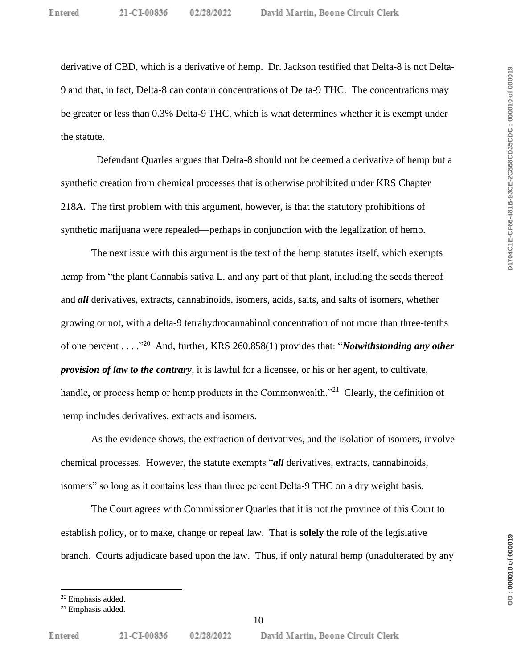derivative of CBD, which is a derivative of hemp. Dr. Jackson testified that Delta-8 is not Delta-9 and that, in fact, Delta-8 can contain concentrations of Delta-9 THC. The concentrations may be greater or less than 0.3% Delta-9 THC, which is what determines whether it is exempt under the statute.

Defendant Quarles argues that Delta-8 should not be deemed a derivative of hemp but a synthetic creation from chemical processes that is otherwise prohibited under KRS Chapter 218A. The first problem with this argument, however, is that the statutory prohibitions of synthetic marijuana were repealed—perhaps in conjunction with the legalization of hemp.

The next issue with this argument is the text of the hemp statutes itself, which exempts hemp from "the plant Cannabis sativa L. and any part of that plant, including the seeds thereof and *all* derivatives, extracts, cannabinoids, isomers, acids, salts, and salts of isomers, whether growing or not, with a delta-9 tetrahydrocannabinol concentration of not more than three-tenths of one percent . . . .<sup>"20</sup> And, further, KRS 260.858(1) provides that: "*Notwithstanding any other provision of law to the contrary*, it is lawful for a licensee, or his or her agent, to cultivate, handle, or process hemp or hemp products in the Commonwealth."<sup>21</sup> Clearly, the definition of hemp includes derivatives, extracts and isomers.

As the evidence shows, the extraction of derivatives, and the isolation of isomers, involve chemical processes. However, the statute exempts "*all* derivatives, extracts, cannabinoids, isomers" so long as it contains less than three percent Delta-9 THC on a dry weight basis.

The Court agrees with Commissioner Quarles that it is not the province of this Court to establish policy, or to make, change or repeal law. That is **solely** the role of the legislative branch. Courts adjudicate based upon the law. Thus, if only natural hemp (unadulterated by any

<sup>20</sup> Emphasis added.

<sup>&</sup>lt;sup>21</sup> Emphasis added.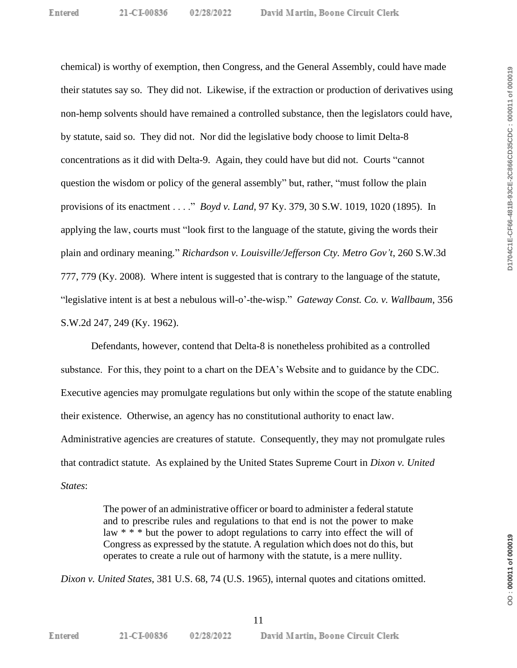chemical) is worthy of exemption, then Congress, and the General Assembly, could have made their statutes say so. They did not. Likewise, if the extraction or production of derivatives using non-hemp solvents should have remained a controlled substance, then the legislators could have, by statute, said so. They did not. Nor did the legislative body choose to limit Delta-8 concentrations as it did with Delta-9. Again, they could have but did not. Courts "cannot question the wisdom or policy of the general assembly" but, rather, "must follow the plain provisions of its enactment . . . ." *Boyd v. Land*, 97 Ky. 379, 30 S.W. 1019, 1020 (1895). In applying the law, courts must "look first to the language of the statute, giving the words their plain and ordinary meaning*.*" *Richardson v. Louisville/Jefferson Cty. Metro Gov't*, 260 S.W.3d 777, 779 (Ky. 2008). Where intent is suggested that is contrary to the language of the statute, "legislative intent is at best a nebulous will-o'-the-wisp." *Gateway Const. Co. v. Wallbaum*, 356 S.W.2d 247, 249 (Ky. 1962).

Defendants, however, contend that Delta-8 is nonetheless prohibited as a controlled substance. For this, they point to a chart on the DEA's Website and to guidance by the CDC. Executive agencies may promulgate regulations but only within the scope of the statute enabling their existence. Otherwise, an agency has no constitutional authority to enact law. Administrative agencies are creatures of statute. Consequently, they may not promulgate rules that contradict statute. As explained by the United States Supreme Court in *Dixon v. United States*:

> The power of an administrative officer or board to administer a federal statute and to prescribe rules and regulations to that end is not the power to make law \* \* \* but the power to adopt regulations to carry into effect the will of Congress as expressed by the statute. A regulation which does not do this, but operates to create a rule out of harmony with the statute, is a mere nullity.

*Dixon v. United States*, 381 U.S. 68, 74 (U.S. 1965), internal quotes and citations omitted.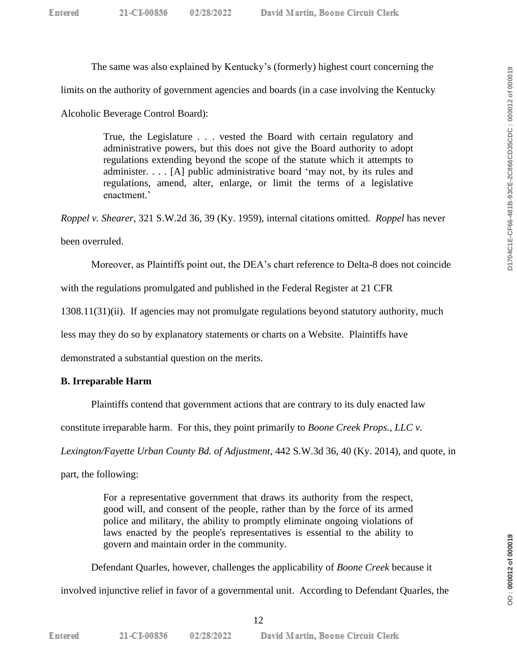The same was also explained by Kentucky's (formerly) highest court concerning the

limits on the authority of government agencies and boards (in a case involving the Kentucky

Alcoholic Beverage Control Board):

True, the Legislature . . . vested the Board with certain regulatory and administrative powers, but this does not give the Board authority to adopt regulations extending beyond the scope of the statute which it attempts to administer. . . . [A] public administrative board 'may not, by its rules and regulations, amend, alter, enlarge, or limit the terms of a legislative enactment.'

*Roppel v. Shearer*, 321 S.W.2d 36, 39 (Ky. 1959), internal citations omitted. *Roppel* has never

been overruled.

Moreover, as Plaintiffs point out, the DEA's chart reference to Delta-8 does not coincide

with the regulations promulgated and published in the Federal Register at 21 CFR

1308.11(31)(ii). If agencies may not promulgate regulations beyond statutory authority, much

less may they do so by explanatory statements or charts on a Website. Plaintiffs have

demonstrated a substantial question on the merits.

## **B. Irreparable Harm**

Plaintiffs contend that government actions that are contrary to its duly enacted law

constitute irreparable harm. For this, they point primarily to *Boone Creek Props., LLC v.* 

*Lexington/Fayette Urban County Bd. of Adjustment*, 442 S.W.3d 36, 40 (Ky. 2014), and quote, in

part, the following:

For a representative government that draws its authority from the respect, good will, and consent of the people, rather than by the force of its armed police and military, the ability to promptly eliminate ongoing violations of laws enacted by the people's representatives is essential to the ability to govern and maintain order in the community.

Defendant Quarles, however, challenges the applicability of *Boone Creek* because it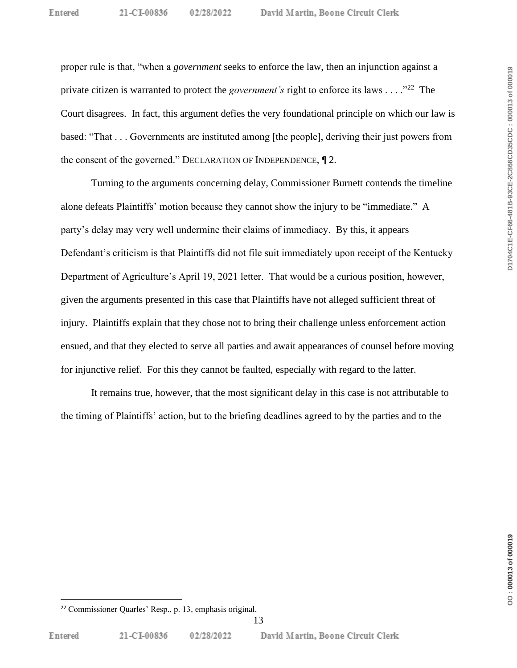proper rule is that, "when a *government* seeks to enforce the law, then an injunction against a private citizen is warranted to protect the *government's* right to enforce its laws . . . .<sup>"22</sup> The Court disagrees. In fact, this argument defies the very foundational principle on which our law is based: "That . . . Governments are instituted among [the people], deriving their just powers from the consent of the governed." DECLARATION OF INDEPENDENCE, ¶ 2.

Turning to the arguments concerning delay, Commissioner Burnett contends the timeline alone defeats Plaintiffs' motion because they cannot show the injury to be "immediate." A party's delay may very well undermine their claims of immediacy. By this, it appears Defendant's criticism is that Plaintiffs did not file suit immediately upon receipt of the Kentucky Department of Agriculture's April 19, 2021 letter. That would be a curious position, however, given the arguments presented in this case that Plaintiffs have not alleged sufficient threat of injury. Plaintiffs explain that they chose not to bring their challenge unless enforcement action ensued, and that they elected to serve all parties and await appearances of counsel before moving for injunctive relief. For this they cannot be faulted, especially with regard to the latter.

It remains true, however, that the most significant delay in this case is not attributable to the timing of Plaintiffs' action, but to the briefing deadlines agreed to by the parties and to the

D1704C1E-CF66-481B-93CE-2C866CD35CDC: 000013 of 000019

<sup>22</sup> Commissioner Quarles' Resp., p. 13, emphasis original.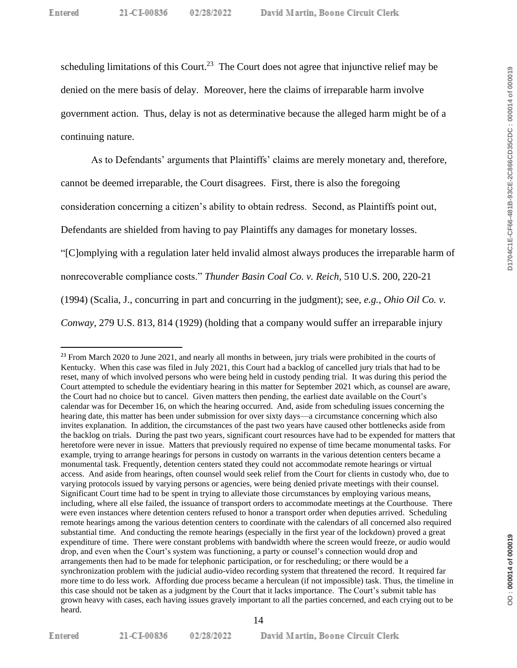scheduling limitations of this Court.<sup>23</sup> The Court does not agree that injunctive relief may be denied on the mere basis of delay. Moreover, here the claims of irreparable harm involve government action. Thus, delay is not as determinative because the alleged harm might be of a continuing nature.

As to Defendants' arguments that Plaintiffs' claims are merely monetary and, therefore, cannot be deemed irreparable, the Court disagrees. First, there is also the foregoing consideration concerning a citizen's ability to obtain redress. Second, as Plaintiffs point out, Defendants are shielded from having to pay Plaintiffs any damages for monetary losses. "[C]omplying with a regulation later held invalid almost always produces the irreparable harm of nonrecoverable compliance costs." *Thunder Basin Coal Co. v. Reich*, 510 U.S. 200, 220-21 (1994) (Scalia, J., concurring in part and concurring in the judgment); see, *e.g., Ohio Oil Co. v. Conway*, 279 U.S. 813, 814 (1929) (holding that a company would suffer an irreparable injury

Entered

21-CI-00836 02/28/2022

<sup>&</sup>lt;sup>23</sup> From March 2020 to June 2021, and nearly all months in between, jury trials were prohibited in the courts of Kentucky. When this case was filed in July 2021, this Court had a backlog of cancelled jury trials that had to be reset, many of which involved persons who were being held in custody pending trial. It was during this period the Court attempted to schedule the evidentiary hearing in this matter for September 2021 which, as counsel are aware, the Court had no choice but to cancel. Given matters then pending, the earliest date available on the Court's calendar was for December 16, on which the hearing occurred. And, aside from scheduling issues concerning the hearing date, this matter has been under submission for over sixty days—a circumstance concerning which also invites explanation. In addition, the circumstances of the past two years have caused other bottlenecks aside from the backlog on trials. During the past two years, significant court resources have had to be expended for matters that heretofore were never in issue. Matters that previously required no expense of time became monumental tasks. For example, trying to arrange hearings for persons in custody on warrants in the various detention centers became a monumental task. Frequently, detention centers stated they could not accommodate remote hearings or virtual access. And aside from hearings, often counsel would seek relief from the Court for clients in custody who, due to varying protocols issued by varying persons or agencies, were being denied private meetings with their counsel. Significant Court time had to be spent in trying to alleviate those circumstances by employing various means, including, where all else failed, the issuance of transport orders to accommodate meetings at the Courthouse. There were even instances where detention centers refused to honor a transport order when deputies arrived. Scheduling remote hearings among the various detention centers to coordinate with the calendars of all concerned also required substantial time. And conducting the remote hearings (especially in the first year of the lockdown) proved a great expenditure of time. There were constant problems with bandwidth where the screen would freeze, or audio would drop, and even when the Court's system was functioning, a party or counsel's connection would drop and arrangements then had to be made for telephonic participation, or for rescheduling; or there would be a synchronization problem with the judicial audio-video recording system that threatened the record. It required far more time to do less work. Affording due process became a herculean (if not impossible) task. Thus, the timeline in this case should not be taken as a judgment by the Court that it lacks importance. The Court's submit table has grown heavy with cases, each having issues gravely important to all the parties concerned, and each crying out to be heard.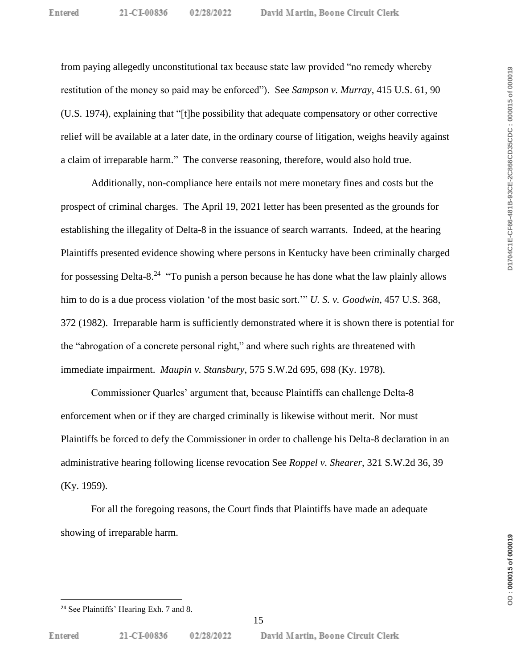David Martin, Boone Circuit Clerk

from paying allegedly unconstitutional tax because state law provided "no remedy whereby restitution of the money so paid may be enforced"). See *Sampson v. Murray*, 415 U.S. 61, 90 (U.S. 1974), explaining that "[t]he possibility that adequate compensatory or other corrective relief will be available at a later date, in the ordinary course of litigation, weighs heavily against a claim of irreparable harm." The converse reasoning, therefore, would also hold true.

Additionally, non-compliance here entails not mere monetary fines and costs but the prospect of criminal charges. The April 19, 2021 letter has been presented as the grounds for establishing the illegality of Delta-8 in the issuance of search warrants. Indeed, at the hearing Plaintiffs presented evidence showing where persons in Kentucky have been criminally charged for possessing Delta-8.<sup>24</sup> "To punish a person because he has done what the law plainly allows him to do is a due process violation 'of the most basic sort.'" *U. S. v. Goodwin*, 457 U.S. 368, 372 (1982). Irreparable harm is sufficiently demonstrated where it is shown there is potential for the "abrogation of a concrete personal right," and where such rights are threatened with immediate impairment. *Maupin v. Stansbury*, 575 S.W.2d 695, 698 (Ky. 1978).

Commissioner Quarles' argument that, because Plaintiffs can challenge Delta-8 enforcement when or if they are charged criminally is likewise without merit. Nor must Plaintiffs be forced to defy the Commissioner in order to challenge his Delta-8 declaration in an administrative hearing following license revocation See *Roppel v. Shearer*, 321 S.W.2d 36, 39 (Ky. 1959).

For all the foregoing reasons, the Court finds that Plaintiffs have made an adequate showing of irreparable harm.

<sup>&</sup>lt;sup>24</sup> See Plaintiffs' Hearing Exh. 7 and 8.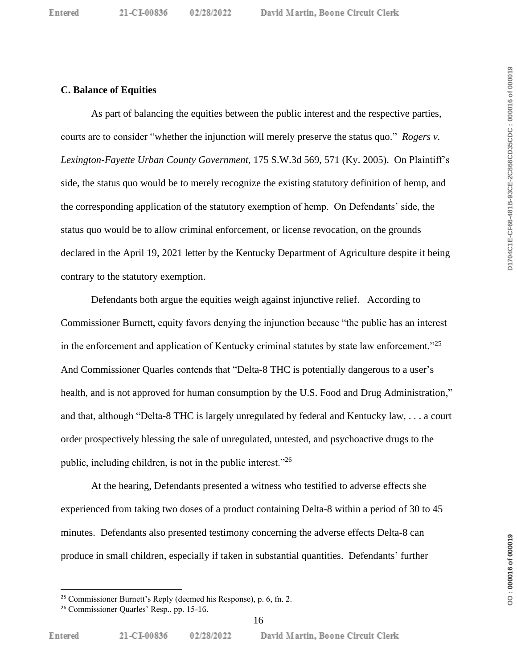#### **C. Balance of Equities**

As part of balancing the equities between the public interest and the respective parties, courts are to consider "whether the injunction will merely preserve the status quo." *Rogers v. Lexington-Fayette Urban County Government*, 175 S.W.3d 569, 571 (Ky. 2005). On Plaintiff's side, the status quo would be to merely recognize the existing statutory definition of hemp, and the corresponding application of the statutory exemption of hemp. On Defendants' side, the status quo would be to allow criminal enforcement, or license revocation, on the grounds declared in the April 19, 2021 letter by the Kentucky Department of Agriculture despite it being contrary to the statutory exemption.

Defendants both argue the equities weigh against injunctive relief. According to Commissioner Burnett, equity favors denying the injunction because "the public has an interest in the enforcement and application of Kentucky criminal statutes by state law enforcement."<sup>25</sup> And Commissioner Quarles contends that "Delta-8 THC is potentially dangerous to a user's health, and is not approved for human consumption by the U.S. Food and Drug Administration," and that, although "Delta-8 THC is largely unregulated by federal and Kentucky law, . . . a court order prospectively blessing the sale of unregulated, untested, and psychoactive drugs to the public, including children, is not in the public interest."<sup>26</sup>

At the hearing, Defendants presented a witness who testified to adverse effects she experienced from taking two doses of a product containing Delta-8 within a period of 30 to 45 minutes. Defendants also presented testimony concerning the adverse effects Delta-8 can produce in small children, especially if taken in substantial quantities. Defendants' further

<sup>25</sup> Commissioner Burnett's Reply (deemed his Response), p. 6, fn. 2.

<sup>26</sup> Commissioner Quarles' Resp., pp. 15-16.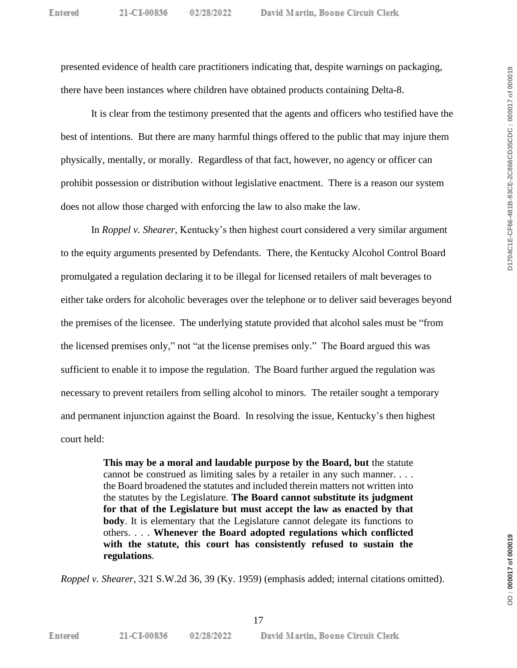presented evidence of health care practitioners indicating that, despite warnings on packaging, there have been instances where children have obtained products containing Delta-8.

It is clear from the testimony presented that the agents and officers who testified have the best of intentions. But there are many harmful things offered to the public that may injure them physically, mentally, or morally. Regardless of that fact, however, no agency or officer can prohibit possession or distribution without legislative enactment. There is a reason our system does not allow those charged with enforcing the law to also make the law.

In *Roppel v. Shearer*, Kentucky's then highest court considered a very similar argument to the equity arguments presented by Defendants. There, the Kentucky Alcohol Control Board promulgated a regulation declaring it to be illegal for licensed retailers of malt beverages to either take orders for alcoholic beverages over the telephone or to deliver said beverages beyond the premises of the licensee. The underlying statute provided that alcohol sales must be "from the licensed premises only," not "at the license premises only." The Board argued this was sufficient to enable it to impose the regulation. The Board further argued the regulation was necessary to prevent retailers from selling alcohol to minors. The retailer sought a temporary and permanent injunction against the Board. In resolving the issue, Kentucky's then highest court held:

> **This may be a moral and laudable purpose by the Board, but** the statute cannot be construed as limiting sales by a retailer in any such manner. . . . the Board broadened the statutes and included therein matters not written into the statutes by the Legislature. **The Board cannot substitute its judgment for that of the Legislature but must accept the law as enacted by that body**. It is elementary that the Legislature cannot delegate its functions to others. . . . **Whenever the Board adopted regulations which conflicted with the statute, this court has consistently refused to sustain the regulations**.

*Roppel v. Shearer*, 321 S.W.2d 36, 39 (Ky. 1959) (emphasis added; internal citations omitted).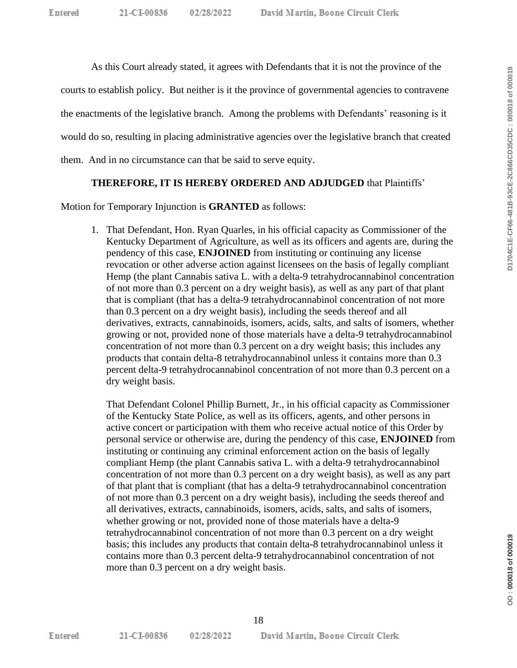As this Court already stated, it agrees with Defendants that it is not the province of the

courts to establish policy. But neither is it the province of governmental agencies to contravene

the enactments of the legislative branch. Among the problems with Defendants' reasoning is it

would do so, resulting in placing administrative agencies over the legislative branch that created

them. And in no circumstance can that be said to serve equity.

## **THEREFORE, IT IS HEREBY ORDERED AND ADJUDGED** that Plaintiffs'

Motion for Temporary Injunction is **GRANTED** as follows:

1. That Defendant, Hon. Ryan Quarles, in his official capacity as Commissioner of the Kentucky Department of Agriculture, as well as its officers and agents are, during the pendency of this case, **ENJOINED** from instituting or continuing any license revocation or other adverse action against licensees on the basis of legally compliant Hemp (the plant Cannabis sativa L. with a delta-9 tetrahydrocannabinol concentration of not more than 0.3 percent on a dry weight basis), as well as any part of that plant that is compliant (that has a delta-9 tetrahydrocannabinol concentration of not more than 0.3 percent on a dry weight basis), including the seeds thereof and all derivatives, extracts, cannabinoids, isomers, acids, salts, and salts of isomers, whether growing or not, provided none of those materials have a delta-9 tetrahydrocannabinol concentration of not more than 0.3 percent on a dry weight basis; this includes any products that contain delta-8 tetrahydrocannabinol unless it contains more than 0.3 percent delta-9 tetrahydrocannabinol concentration of not more than 0.3 percent on a dry weight basis.

That Defendant Colonel Phillip Burnett, Jr., in his official capacity as Commissioner of the Kentucky State Police, as well as its officers, agents, and other persons in active concert or participation with them who receive actual notice of this Order by personal service or otherwise are, during the pendency of this case, **ENJOINED** from instituting or continuing any criminal enforcement action on the basis of legally compliant Hemp (the plant Cannabis sativa L. with a delta-9 tetrahydrocannabinol concentration of not more than 0.3 percent on a dry weight basis), as well as any part of that plant that is compliant (that has a delta-9 tetrahydrocannabinol concentration of not more than 0.3 percent on a dry weight basis), including the seeds thereof and all derivatives, extracts, cannabinoids, isomers, acids, salts, and salts of isomers, whether growing or not, provided none of those materials have a delta-9 tetrahydrocannabinol concentration of not more than 0.3 percent on a dry weight basis; this includes any products that contain delta-8 tetrahydrocannabinol unless it contains more than 0.3 percent delta-9 tetrahydrocannabinol concentration of not more than 0.3 percent on a dry weight basis.